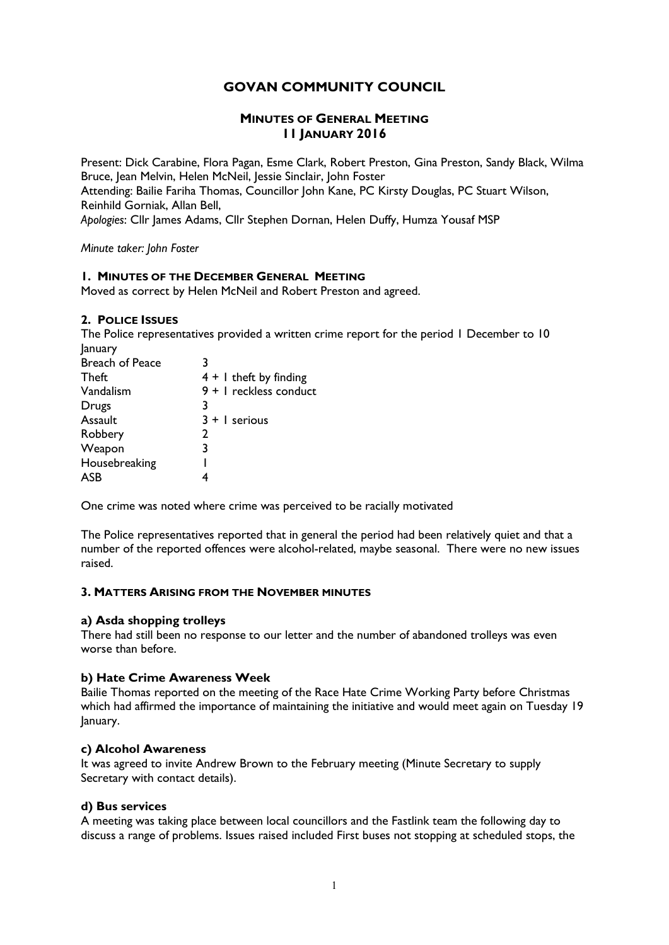# GOVAN COMMUNITY COUNCIL

# MINUTES OF GENERAL MEETING 11 JANUARY 2016

Present: Dick Carabine, Flora Pagan, Esme Clark, Robert Preston, Gina Preston, Sandy Black, Wilma Bruce, Jean Melvin, Helen McNeil, Jessie Sinclair, John Foster Attending: Bailie Fariha Thomas, Councillor John Kane, PC Kirsty Douglas, PC Stuart Wilson, Reinhild Gorniak, Allan Bell, Apologies: Cllr James Adams, Cllr Stephen Dornan, Helen Duffy, Humza Yousaf MSP

Minute taker: John Foster

# 1. MINUTES OF THE DECEMBER GENERAL MEETING

Moved as correct by Helen McNeil and Robert Preston and agreed.

#### 2. POLICE ISSUES

The Police representatives provided a written crime report for the period 1 December to 10 January

| 14. <i>.</i>           |                          |
|------------------------|--------------------------|
| <b>Breach of Peace</b> | 3                        |
| Theft                  | $4 + 1$ theft by finding |
| Vandalism              | 9 + I reckless conduct   |
| Drugs                  | 3                        |
| Assault                | $3 + 1$ serious          |
| Robbery                | 2                        |
| Weapon                 | 3                        |
| Housebreaking          |                          |
| ASB                    |                          |
|                        |                          |

One crime was noted where crime was perceived to be racially motivated

The Police representatives reported that in general the period had been relatively quiet and that a number of the reported offences were alcohol-related, maybe seasonal. There were no new issues raised.

# 3. MATTERS ARISING FROM THE NOVEMBER MINUTES

#### a) Asda shopping trolleys

There had still been no response to our letter and the number of abandoned trolleys was even worse than before.

# b) Hate Crime Awareness Week

Bailie Thomas reported on the meeting of the Race Hate Crime Working Party before Christmas which had affirmed the importance of maintaining the initiative and would meet again on Tuesday 19 January.

#### c) Alcohol Awareness

It was agreed to invite Andrew Brown to the February meeting (Minute Secretary to supply Secretary with contact details).

#### d) Bus services

A meeting was taking place between local councillors and the Fastlink team the following day to discuss a range of problems. Issues raised included First buses not stopping at scheduled stops, the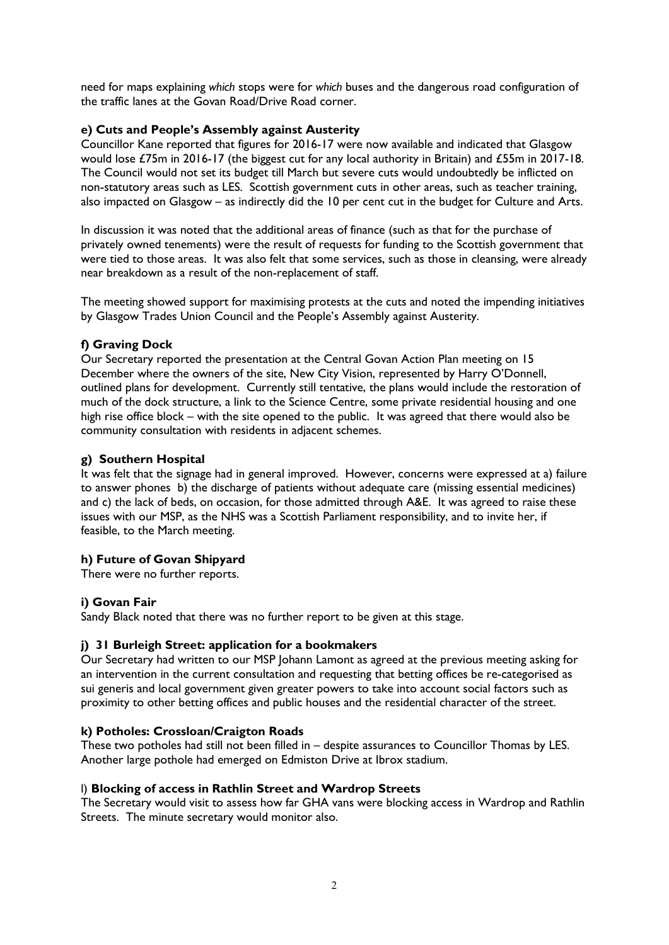need for maps explaining which stops were for which buses and the dangerous road configuration of the traffic lanes at the Govan Road/Drive Road corner.

# e) Cuts and People's Assembly against Austerity

Councillor Kane reported that figures for 2016-17 were now available and indicated that Glasgow would lose £75m in 2016-17 (the biggest cut for any local authority in Britain) and £55m in 2017-18. The Council would not set its budget till March but severe cuts would undoubtedly be inflicted on non-statutory areas such as LES. Scottish government cuts in other areas, such as teacher training, also impacted on Glasgow – as indirectly did the 10 per cent cut in the budget for Culture and Arts.

In discussion it was noted that the additional areas of finance (such as that for the purchase of privately owned tenements) were the result of requests for funding to the Scottish government that were tied to those areas. It was also felt that some services, such as those in cleansing, were already near breakdown as a result of the non-replacement of staff.

The meeting showed support for maximising protests at the cuts and noted the impending initiatives by Glasgow Trades Union Council and the People's Assembly against Austerity.

# f) Graving Dock

Our Secretary reported the presentation at the Central Govan Action Plan meeting on 15 December where the owners of the site, New City Vision, represented by Harry O'Donnell, outlined plans for development. Currently still tentative, the plans would include the restoration of much of the dock structure, a link to the Science Centre, some private residential housing and one high rise office block – with the site opened to the public. It was agreed that there would also be community consultation with residents in adjacent schemes.

# g) Southern Hospital

It was felt that the signage had in general improved. However, concerns were expressed at a) failure to answer phones b) the discharge of patients without adequate care (missing essential medicines) and c) the lack of beds, on occasion, for those admitted through A&E. It was agreed to raise these issues with our MSP, as the NHS was a Scottish Parliament responsibility, and to invite her, if feasible, to the March meeting.

# h) Future of Govan Shipyard

There were no further reports.

# i) Govan Fair

Sandy Black noted that there was no further report to be given at this stage.

# j) 31 Burleigh Street: application for a bookmakers

Our Secretary had written to our MSP Johann Lamont as agreed at the previous meeting asking for an intervention in the current consultation and requesting that betting offices be re-categorised as sui generis and local government given greater powers to take into account social factors such as proximity to other betting offices and public houses and the residential character of the street.

# k) Potholes: Crossloan/Craigton Roads

These two potholes had still not been filled in – despite assurances to Councillor Thomas by LES. Another large pothole had emerged on Edmiston Drive at Ibrox stadium.

# l) Blocking of access in Rathlin Street and Wardrop Streets

The Secretary would visit to assess how far GHA vans were blocking access in Wardrop and Rathlin Streets. The minute secretary would monitor also.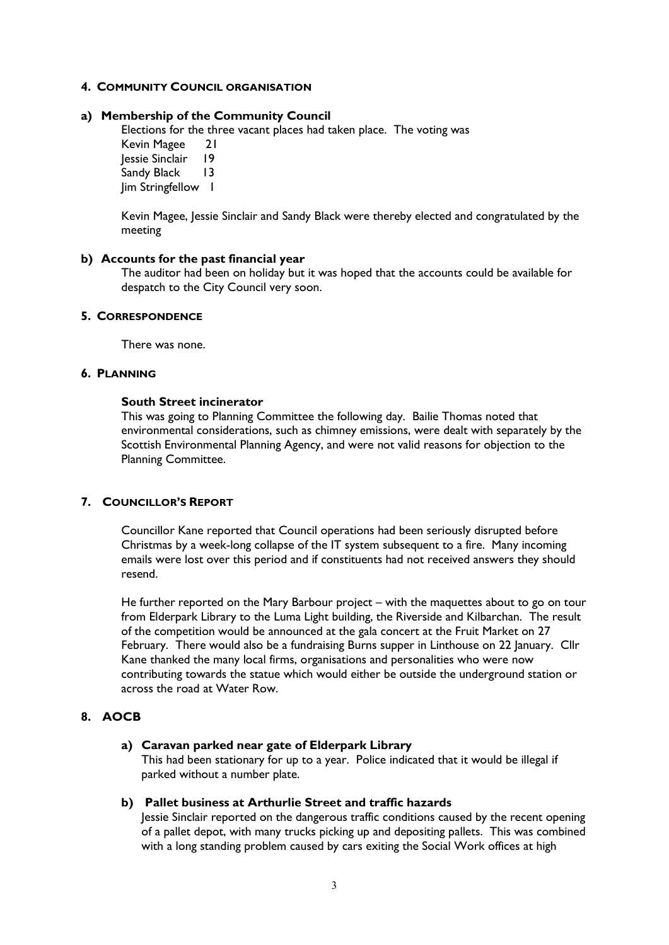# 4. COMMUNITY COUNCIL ORGANISATION

# a) Membership of the Community Council

Elections for the three vacant places had taken place. The voting was Kevin Magee 21 Jessie Sinclair 19 Sandy Black 13 Jim Stringfellow 1

Kevin Magee, Jessie Sinclair and Sandy Black were thereby elected and congratulated by the meeting

#### b) Accounts for the past financial year

The auditor had been on holiday but it was hoped that the accounts could be available for despatch to the City Council very soon.

# 5. CORRESPONDENCE

There was none.

#### 6. PLANNING

#### South Street incinerator

This was going to Planning Committee the following day. Bailie Thomas noted that environmental considerations, such as chimney emissions, were dealt with separately by the Scottish Environmental Planning Agency, and were not valid reasons for objection to the Planning Committee.

# 7. COUNCILLOR'S REPORT

Councillor Kane reported that Council operations had been seriously disrupted before Christmas by a week-long collapse of the IT system subsequent to a fire. Many incoming emails were lost over this period and if constituents had not received answers they should resend.

He further reported on the Mary Barbour project – with the maquettes about to go on tour from Elderpark Library to the Luma Light building, the Riverside and Kilbarchan. The result of the competition would be announced at the gala concert at the Fruit Market on 27 February. There would also be a fundraising Burns supper in Linthouse on 22 January. Cllr Kane thanked the many local firms, organisations and personalities who were now contributing towards the statue which would either be outside the underground station or across the road at Water Row.

# 8. AOCB

# a) Caravan parked near gate of Elderpark Library

This had been stationary for up to a year. Police indicated that it would be illegal if parked without a number plate.

# b) Pallet business at Arthurlie Street and traffic hazards

Jessie Sinclair reported on the dangerous traffic conditions caused by the recent opening of a pallet depot, with many trucks picking up and depositing pallets. This was combined with a long standing problem caused by cars exiting the Social Work offices at high